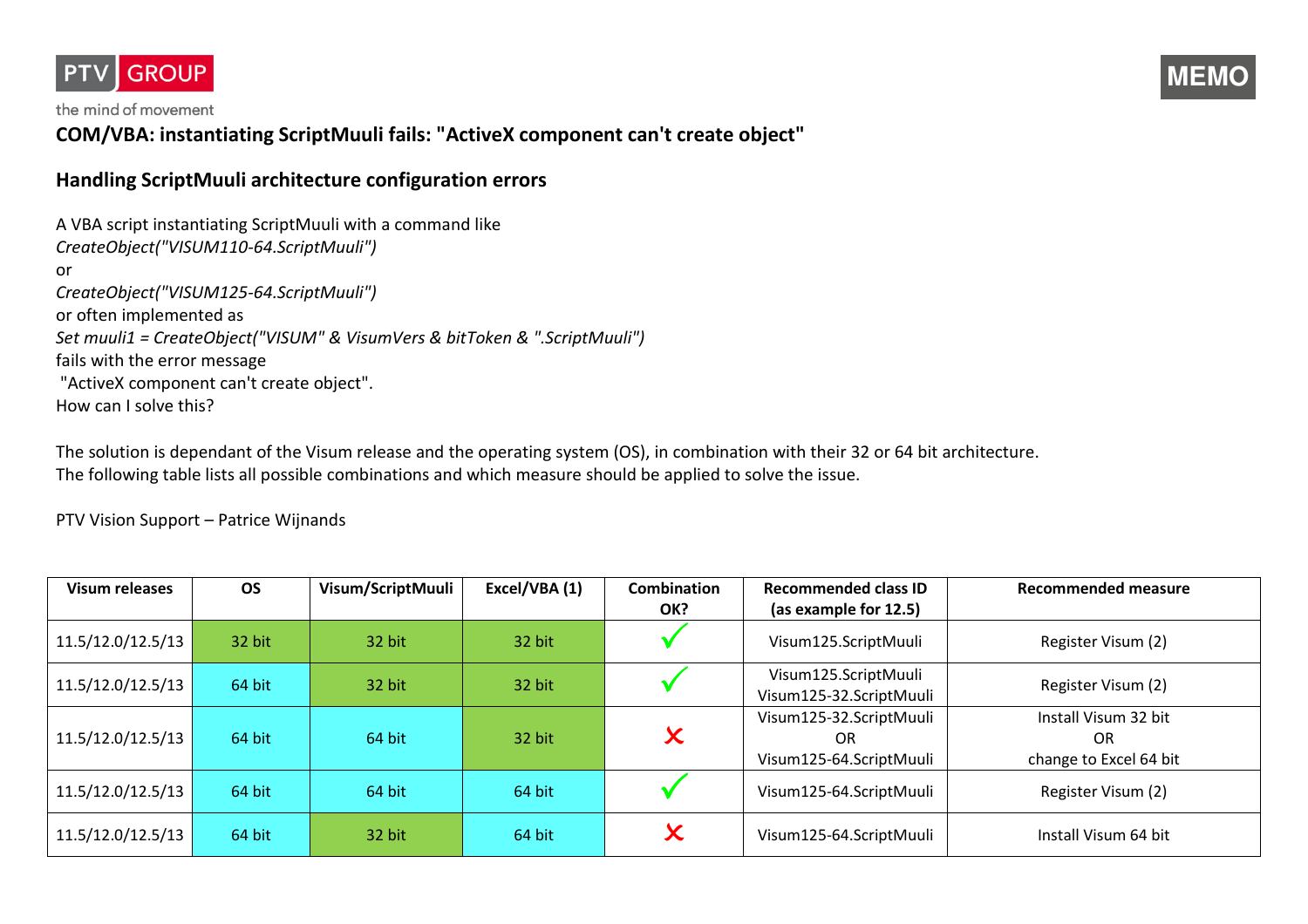

the mind of movement

## **COM/VBA: instantiating ScriptMuuli fails: "ActiveX component can't create object"**

## **Handling ScriptMuuli architecture configuration errors**

A VBA script instantiating ScriptMuuli with a command like *CreateObject("VISUM110-64.ScriptMuuli")* or *CreateObject("VISUM125-64.ScriptMuuli")* or often implemented as *Set muuli1 = CreateObject("VISUM" & VisumVers & bitToken & ".ScriptMuuli")* fails with the error message "ActiveX component can't create object". How can I solve this?

The solution is dependant of the Visum release and the operating system (OS), in combination with their 32 or 64 bit architecture. The following table lists all possible combinations and which measure should be applied to solve the issue.

PTV Vision Support – Patrice Wijnands

| <b>Visum releases</b> | <b>OS</b> | Visum/ScriptMuuli | Excel/VBA (1) | <b>Combination</b><br>OK? | <b>Recommended class ID</b><br>(as example for 12.5)      | Recommended measure                                         |
|-----------------------|-----------|-------------------|---------------|---------------------------|-----------------------------------------------------------|-------------------------------------------------------------|
| 11.5/12.0/12.5/13     | 32 bit    | 32 bit            | 32 bit        |                           | Visum125.ScriptMuuli                                      | Register Visum (2)                                          |
| 11.5/12.0/12.5/13     | 64 bit    | 32 bit            | 32 bit        |                           | Visum125.ScriptMuuli<br>Visum125-32.ScriptMuuli           | Register Visum (2)                                          |
| 11.5/12.0/12.5/13     | 64 bit    | 64 bit            | 32 bit        | $\bm{\mathsf{x}}$         | Visum125-32.ScriptMuuli<br>OR.<br>Visum125-64.ScriptMuuli | Install Visum 32 bit<br><b>OR</b><br>change to Excel 64 bit |
| 11.5/12.0/12.5/13     | 64 bit    | 64 bit            | 64 bit        |                           | Visum125-64.ScriptMuuli                                   | Register Visum (2)                                          |
| 11.5/12.0/12.5/13     | 64 bit    | 32 bit            | 64 bit        | $\bm{\mathsf{x}}$         | Visum125-64.ScriptMuuli                                   | Install Visum 64 bit                                        |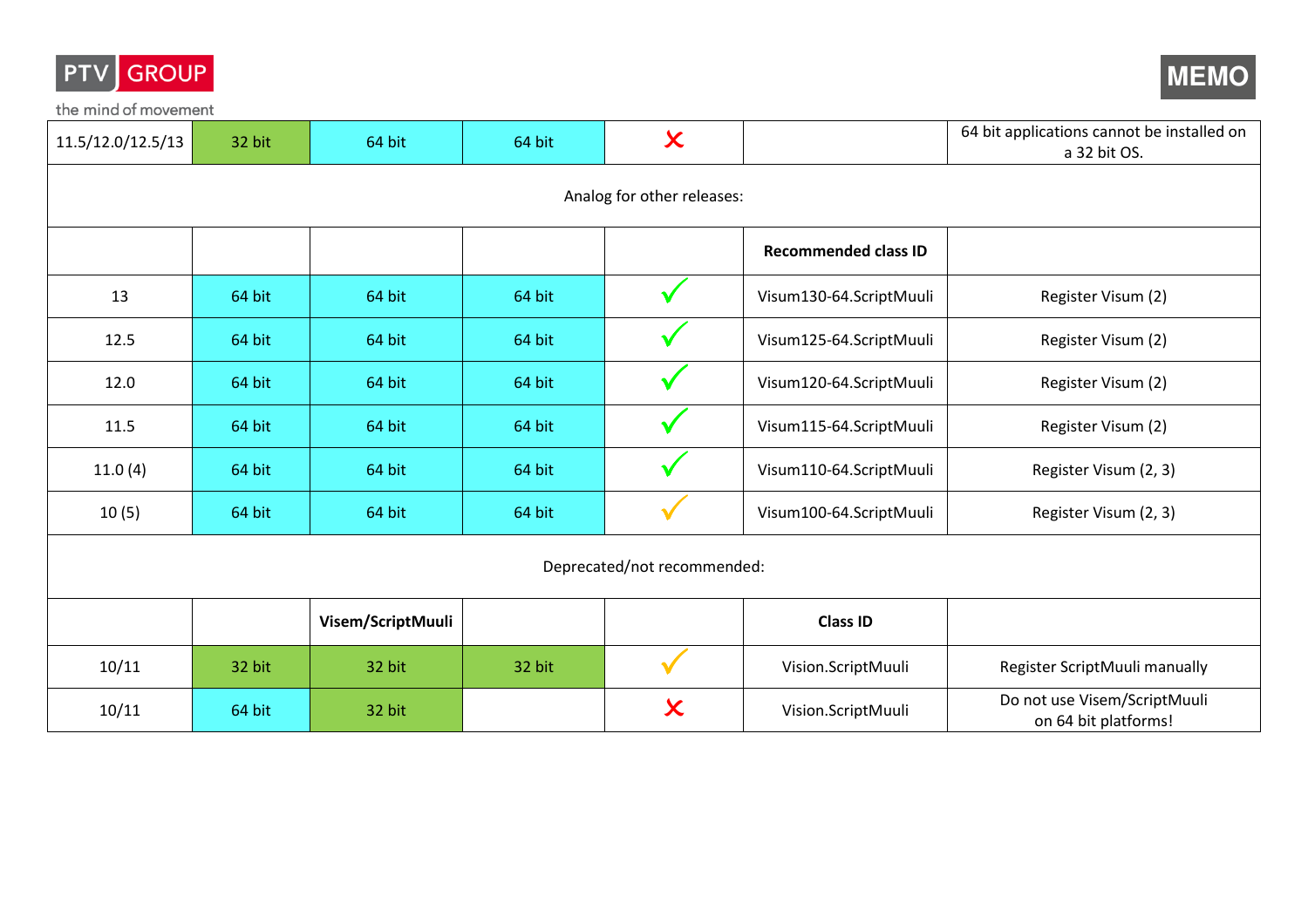

the mind of movement



| 11.5/12.0/12.5/13           | 32 bit | 64 bit            | 64 bit | $\boldsymbol{\mathsf{x}}$  |                             | 64 bit applications cannot be installed on<br>a 32 bit OS. |  |  |  |
|-----------------------------|--------|-------------------|--------|----------------------------|-----------------------------|------------------------------------------------------------|--|--|--|
|                             |        |                   |        | Analog for other releases: |                             |                                                            |  |  |  |
|                             |        |                   |        |                            | <b>Recommended class ID</b> |                                                            |  |  |  |
| 13                          | 64 bit | 64 bit            | 64 bit | $\checkmark$               | Visum130-64.ScriptMuuli     | Register Visum (2)                                         |  |  |  |
| 12.5                        | 64 bit | 64 bit            | 64 bit | $\checkmark$               | Visum125-64.ScriptMuuli     | Register Visum (2)                                         |  |  |  |
| 12.0                        | 64 bit | 64 bit            | 64 bit | $\checkmark$               | Visum120-64.ScriptMuuli     | Register Visum (2)                                         |  |  |  |
| 11.5                        | 64 bit | 64 bit            | 64 bit | $\checkmark$               | Visum115-64.ScriptMuuli     | Register Visum (2)                                         |  |  |  |
| 11.0(4)                     | 64 bit | 64 bit            | 64 bit | $\checkmark$               | Visum110-64.ScriptMuuli     | Register Visum (2, 3)                                      |  |  |  |
| 10(5)                       | 64 bit | 64 bit            | 64 bit |                            | Visum100-64.ScriptMuuli     | Register Visum (2, 3)                                      |  |  |  |
| Deprecated/not recommended: |        |                   |        |                            |                             |                                                            |  |  |  |
|                             |        | Visem/ScriptMuuli |        |                            | <b>Class ID</b>             |                                                            |  |  |  |
| 10/11                       | 32 bit | 32 bit            | 32 bit | $\checkmark$               | Vision.ScriptMuuli          | Register ScriptMuuli manually                              |  |  |  |
| 10/11                       | 64 bit | 32 bit            |        | $\boldsymbol{\chi}$        | Vision.ScriptMuuli          | Do not use Visem/ScriptMuuli<br>on 64 bit platforms!       |  |  |  |